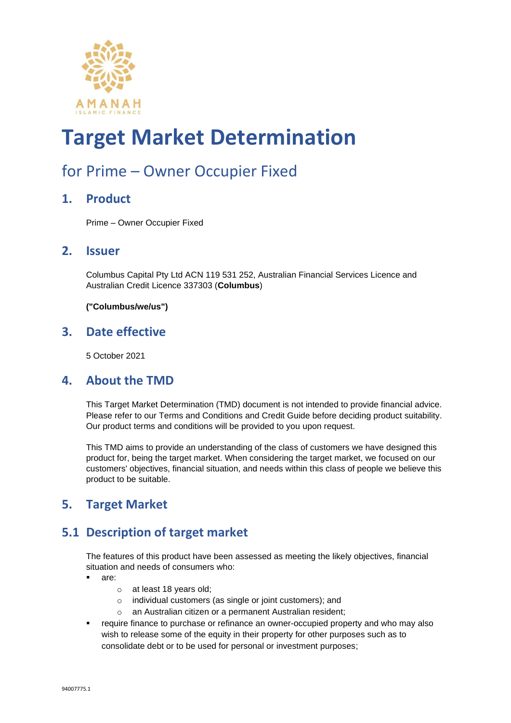

### for Prime – Owner Occupier Fixed

#### **1. Product**

Prime – Owner Occupier Fixed

#### **2. Issuer**

Columbus Capital Pty Ltd ACN 119 531 252, Australian Financial Services Licence and Australian Credit Licence 337303 (**Columbus**)

**("Columbus/we/us")**

#### **3. Date effective**

5 October 2021

#### **4. About the TMD**

This Target Market Determination (TMD) document is not intended to provide financial advice. Please refer to our Terms and Conditions and Credit Guide before deciding product suitability. Our product terms and conditions will be provided to you upon request.

This TMD aims to provide an understanding of the class of customers we have designed this product for, being the target market. When considering the target market, we focused on our customers' objectives, financial situation, and needs within this class of people we believe this product to be suitable.

#### **5. Target Market**

#### **5.1 Description of target market**

The features of this product have been assessed as meeting the likely objectives, financial situation and needs of consumers who:

- are:
	- o at least 18 years old;
	- o individual customers (as single or joint customers); and
	- o an Australian citizen or a permanent Australian resident;
- **•** require finance to purchase or refinance an owner-occupied property and who may also wish to release some of the equity in their property for other purposes such as to consolidate debt or to be used for personal or investment purposes;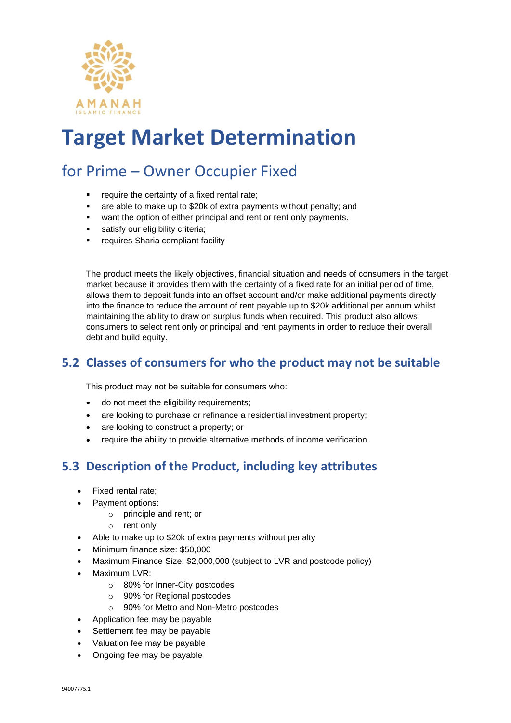

### for Prime – Owner Occupier Fixed

- require the certainty of a fixed rental rate;
- are able to make up to \$20k of extra payments without penalty; and
- want the option of either principal and rent or rent only payments.
- satisfy our eligibility criteria;
- requires Sharia compliant facility

The product meets the likely objectives, financial situation and needs of consumers in the target market because it provides them with the certainty of a fixed rate for an initial period of time, allows them to deposit funds into an offset account and/or make additional payments directly into the finance to reduce the amount of rent payable up to \$20k additional per annum whilst maintaining the ability to draw on surplus funds when required. This product also allows consumers to select rent only or principal and rent payments in order to reduce their overall debt and build equity.

#### **5.2 Classes of consumers for who the product may not be suitable**

This product may not be suitable for consumers who:

- do not meet the eligibility requirements;
- are looking to purchase or refinance a residential investment property;
- are looking to construct a property; or
- require the ability to provide alternative methods of income verification.

#### **5.3 Description of the Product, including key attributes**

- Fixed rental rate;
- Payment options:
	- o principle and rent; or
	- o rent only
- Able to make up to \$20k of extra payments without penalty
- Minimum finance size: \$50,000
- Maximum Finance Size: \$2,000,000 (subject to LVR and postcode policy)
- Maximum LVR:
	- o 80% for Inner-City postcodes
	- o 90% for Regional postcodes
	- o 90% for Metro and Non-Metro postcodes
- Application fee may be payable
- Settlement fee may be payable
- Valuation fee may be payable
- Ongoing fee may be payable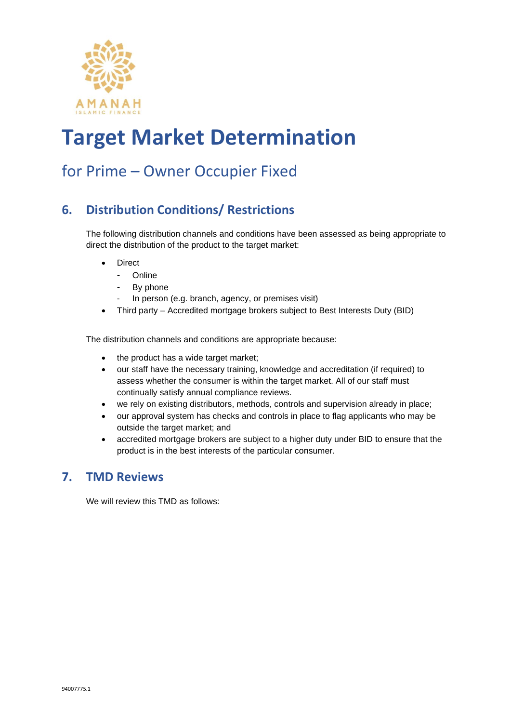

### for Prime – Owner Occupier Fixed

#### **6. Distribution Conditions/ Restrictions**

The following distribution channels and conditions have been assessed as being appropriate to direct the distribution of the product to the target market:

- **Direct** 
	- **Online**
	- By phone
	- In person (e.g. branch, agency, or premises visit)
- Third party Accredited mortgage brokers subject to Best Interests Duty (BID)

The distribution channels and conditions are appropriate because:

- the product has a wide target market;
- our staff have the necessary training, knowledge and accreditation (if required) to assess whether the consumer is within the target market. All of our staff must continually satisfy annual compliance reviews.
- we rely on existing distributors, methods, controls and supervision already in place;
- our approval system has checks and controls in place to flag applicants who may be outside the target market; and
- accredited mortgage brokers are subject to a higher duty under BID to ensure that the product is in the best interests of the particular consumer.

#### **7. TMD Reviews**

We will review this TMD as follows: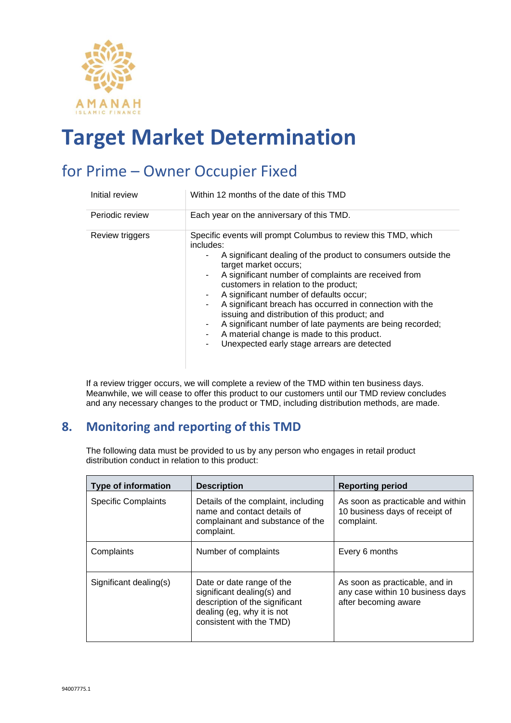

### for Prime – Owner Occupier Fixed

| Initial review  | Within 12 months of the date of this TMD                                                                                                                                                                                                                                                                                                                                                                                                                                                                                                                                                                     |
|-----------------|--------------------------------------------------------------------------------------------------------------------------------------------------------------------------------------------------------------------------------------------------------------------------------------------------------------------------------------------------------------------------------------------------------------------------------------------------------------------------------------------------------------------------------------------------------------------------------------------------------------|
| Periodic review | Each year on the anniversary of this TMD.                                                                                                                                                                                                                                                                                                                                                                                                                                                                                                                                                                    |
| Review triggers | Specific events will prompt Columbus to review this TMD, which<br>includes:<br>A significant dealing of the product to consumers outside the<br>target market occurs;<br>A significant number of complaints are received from<br>۰<br>customers in relation to the product;<br>A significant number of defaults occur;<br>A significant breach has occurred in connection with the<br>٠<br>issuing and distribution of this product; and<br>A significant number of late payments are being recorded;<br>٠<br>A material change is made to this product.<br>Unexpected early stage arrears are detected<br>۰ |

If a review trigger occurs, we will complete a review of the TMD within ten business days. Meanwhile, we will cease to offer this product to our customers until our TMD review concludes and any necessary changes to the product or TMD, including distribution methods, are made.

#### **8. Monitoring and reporting of this TMD**

The following data must be provided to us by any person who engages in retail product distribution conduct in relation to this product:

| <b>Type of information</b> | <b>Description</b>                                                                                                                                  | <b>Reporting period</b>                                                                    |
|----------------------------|-----------------------------------------------------------------------------------------------------------------------------------------------------|--------------------------------------------------------------------------------------------|
| <b>Specific Complaints</b> | Details of the complaint, including<br>name and contact details of<br>complainant and substance of the<br>complaint.                                | As soon as practicable and within<br>10 business days of receipt of<br>complaint.          |
| Complaints                 | Number of complaints                                                                                                                                | Every 6 months                                                                             |
| Significant dealing(s)     | Date or date range of the<br>significant dealing(s) and<br>description of the significant<br>dealing (eg, why it is not<br>consistent with the TMD) | As soon as practicable, and in<br>any case within 10 business days<br>after becoming aware |